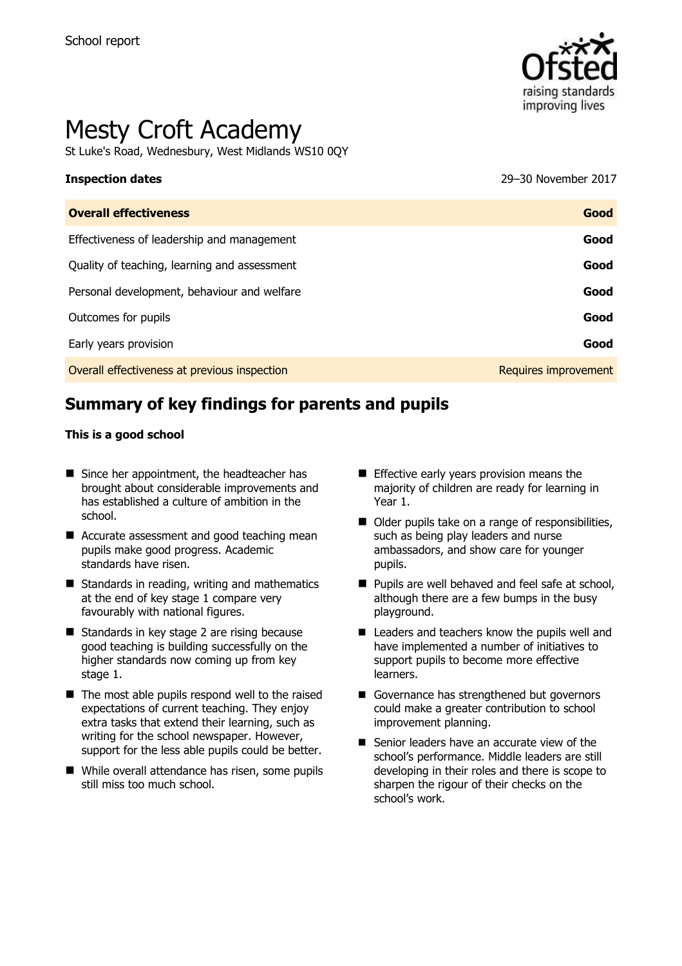

# Mesty Croft Academy

St Luke's Road, Wednesbury, West Midlands WS10 0QY

**Inspection dates** 29–30 November 2017

| <b>Overall effectiveness</b>                 | Good                 |
|----------------------------------------------|----------------------|
| Effectiveness of leadership and management   | Good                 |
| Quality of teaching, learning and assessment | Good                 |
| Personal development, behaviour and welfare  | Good                 |
| Outcomes for pupils                          | Good                 |
| Early years provision                        | Good                 |
| Overall effectiveness at previous inspection | Requires improvement |

# **Summary of key findings for parents and pupils**

#### **This is a good school**

- Since her appointment, the headteacher has brought about considerable improvements and has established a culture of ambition in the school.
- Accurate assessment and good teaching mean pupils make good progress. Academic standards have risen.
- $\blacksquare$  Standards in reading, writing and mathematics at the end of key stage 1 compare very favourably with national figures.
- Standards in key stage 2 are rising because good teaching is building successfully on the higher standards now coming up from key stage 1.
- $\blacksquare$  The most able pupils respond well to the raised expectations of current teaching. They enjoy extra tasks that extend their learning, such as writing for the school newspaper. However, support for the less able pupils could be better.
- While overall attendance has risen, some pupils still miss too much school.
- **Effective early years provision means the** majority of children are ready for learning in Year 1.
- Older pupils take on a range of responsibilities, such as being play leaders and nurse ambassadors, and show care for younger pupils.
- **Pupils are well behaved and feel safe at school,** although there are a few bumps in the busy playground.
- Leaders and teachers know the pupils well and have implemented a number of initiatives to support pupils to become more effective learners.
- Governance has strengthened but governors could make a greater contribution to school improvement planning.
- Senior leaders have an accurate view of the school's performance. Middle leaders are still developing in their roles and there is scope to sharpen the rigour of their checks on the school's work.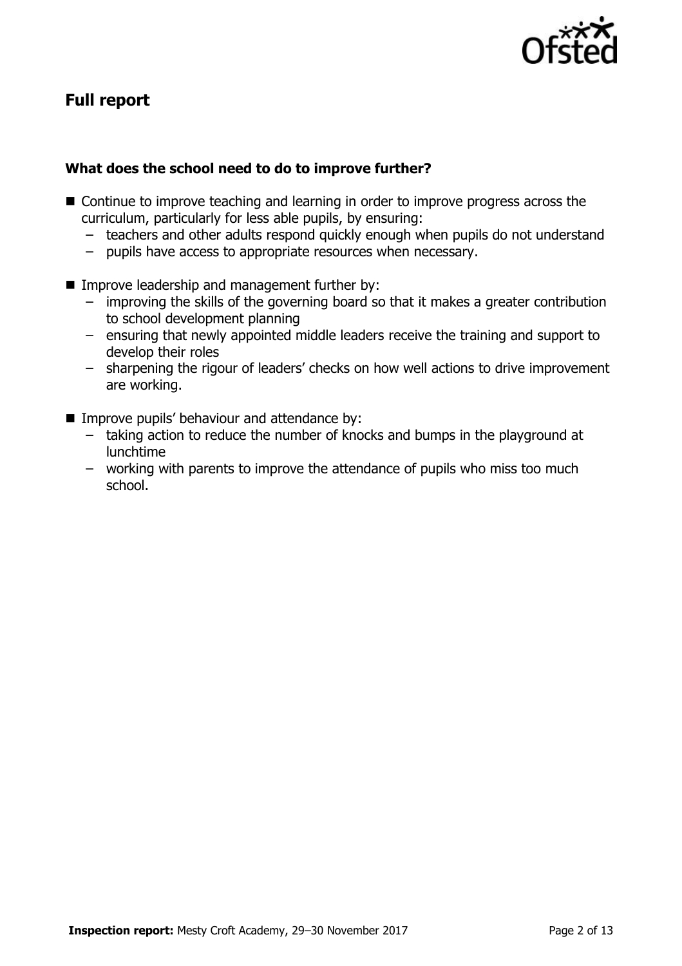

# **Full report**

### **What does the school need to do to improve further?**

- Continue to improve teaching and learning in order to improve progress across the curriculum, particularly for less able pupils, by ensuring:
	- teachers and other adults respond quickly enough when pupils do not understand
	- pupils have access to appropriate resources when necessary.
- **IMPROPE Instance Incontract Improve leadership and management further by:** 
	- improving the skills of the governing board so that it makes a greater contribution to school development planning
	- ensuring that newly appointed middle leaders receive the training and support to develop their roles
	- sharpening the rigour of leaders' checks on how well actions to drive improvement are working.
- Improve pupils' behaviour and attendance by:
	- taking action to reduce the number of knocks and bumps in the playground at lunchtime
	- working with parents to improve the attendance of pupils who miss too much school.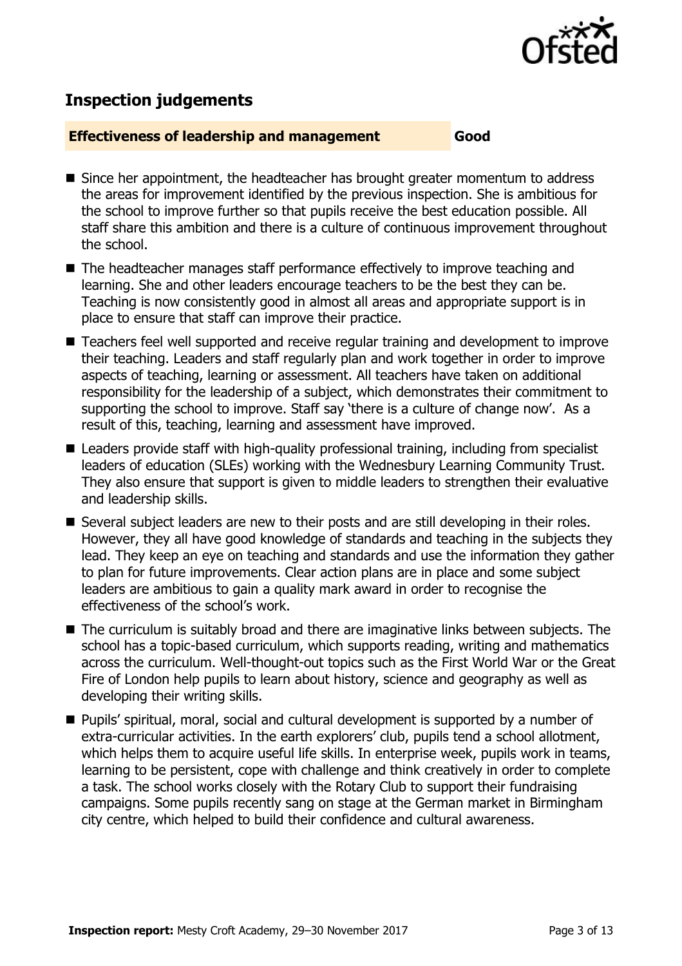

# **Inspection judgements**

#### **Effectiveness of leadership and management Good**

- Since her appointment, the headteacher has brought greater momentum to address the areas for improvement identified by the previous inspection. She is ambitious for the school to improve further so that pupils receive the best education possible. All staff share this ambition and there is a culture of continuous improvement throughout the school.
- The headteacher manages staff performance effectively to improve teaching and learning. She and other leaders encourage teachers to be the best they can be. Teaching is now consistently good in almost all areas and appropriate support is in place to ensure that staff can improve their practice.
- Teachers feel well supported and receive regular training and development to improve their teaching. Leaders and staff regularly plan and work together in order to improve aspects of teaching, learning or assessment. All teachers have taken on additional responsibility for the leadership of a subject, which demonstrates their commitment to supporting the school to improve. Staff say 'there is a culture of change now'. As a result of this, teaching, learning and assessment have improved.
- Leaders provide staff with high-quality professional training, including from specialist leaders of education (SLEs) working with the Wednesbury Learning Community Trust. They also ensure that support is given to middle leaders to strengthen their evaluative and leadership skills.
- Several subject leaders are new to their posts and are still developing in their roles. However, they all have good knowledge of standards and teaching in the subjects they lead. They keep an eye on teaching and standards and use the information they gather to plan for future improvements. Clear action plans are in place and some subject leaders are ambitious to gain a quality mark award in order to recognise the effectiveness of the school's work.
- The curriculum is suitably broad and there are imaginative links between subjects. The school has a topic-based curriculum, which supports reading, writing and mathematics across the curriculum. Well-thought-out topics such as the First World War or the Great Fire of London help pupils to learn about history, science and geography as well as developing their writing skills.
- Pupils' spiritual, moral, social and cultural development is supported by a number of extra-curricular activities. In the earth explorers' club, pupils tend a school allotment, which helps them to acquire useful life skills. In enterprise week, pupils work in teams, learning to be persistent, cope with challenge and think creatively in order to complete a task. The school works closely with the Rotary Club to support their fundraising campaigns. Some pupils recently sang on stage at the German market in Birmingham city centre, which helped to build their confidence and cultural awareness.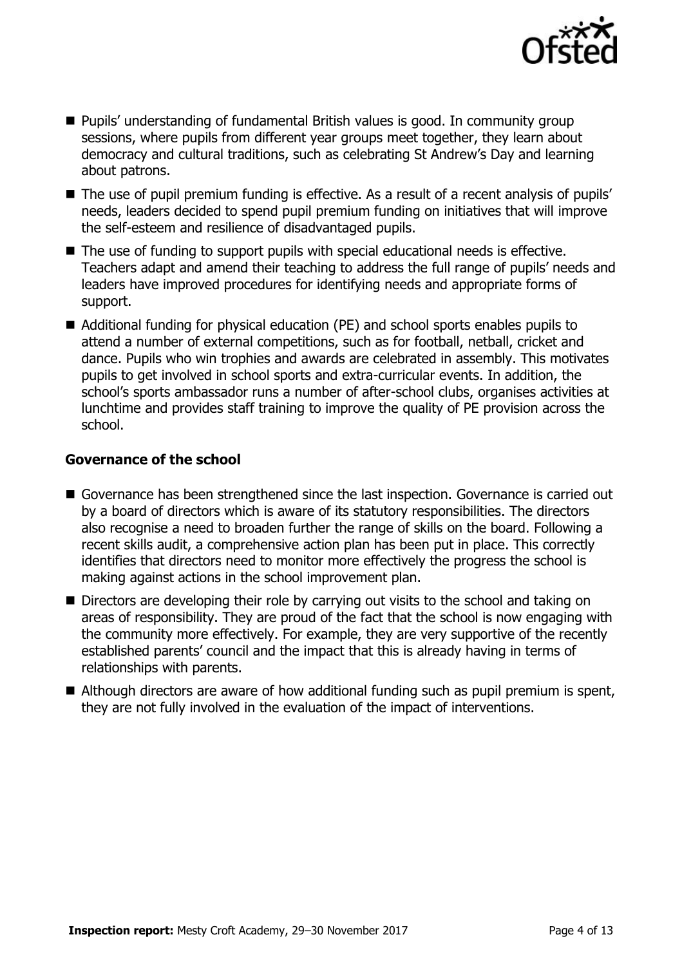

- Pupils' understanding of fundamental British values is good. In community group sessions, where pupils from different year groups meet together, they learn about democracy and cultural traditions, such as celebrating St Andrew's Day and learning about patrons.
- The use of pupil premium funding is effective. As a result of a recent analysis of pupils' needs, leaders decided to spend pupil premium funding on initiatives that will improve the self-esteem and resilience of disadvantaged pupils.
- The use of funding to support pupils with special educational needs is effective. Teachers adapt and amend their teaching to address the full range of pupils' needs and leaders have improved procedures for identifying needs and appropriate forms of support.
- Additional funding for physical education (PE) and school sports enables pupils to attend a number of external competitions, such as for football, netball, cricket and dance. Pupils who win trophies and awards are celebrated in assembly. This motivates pupils to get involved in school sports and extra-curricular events. In addition, the school's sports ambassador runs a number of after-school clubs, organises activities at lunchtime and provides staff training to improve the quality of PE provision across the school.

#### **Governance of the school**

- Governance has been strengthened since the last inspection. Governance is carried out by a board of directors which is aware of its statutory responsibilities. The directors also recognise a need to broaden further the range of skills on the board. Following a recent skills audit, a comprehensive action plan has been put in place. This correctly identifies that directors need to monitor more effectively the progress the school is making against actions in the school improvement plan.
- Directors are developing their role by carrying out visits to the school and taking on areas of responsibility. They are proud of the fact that the school is now engaging with the community more effectively. For example, they are very supportive of the recently established parents' council and the impact that this is already having in terms of relationships with parents.
- Although directors are aware of how additional funding such as pupil premium is spent, they are not fully involved in the evaluation of the impact of interventions.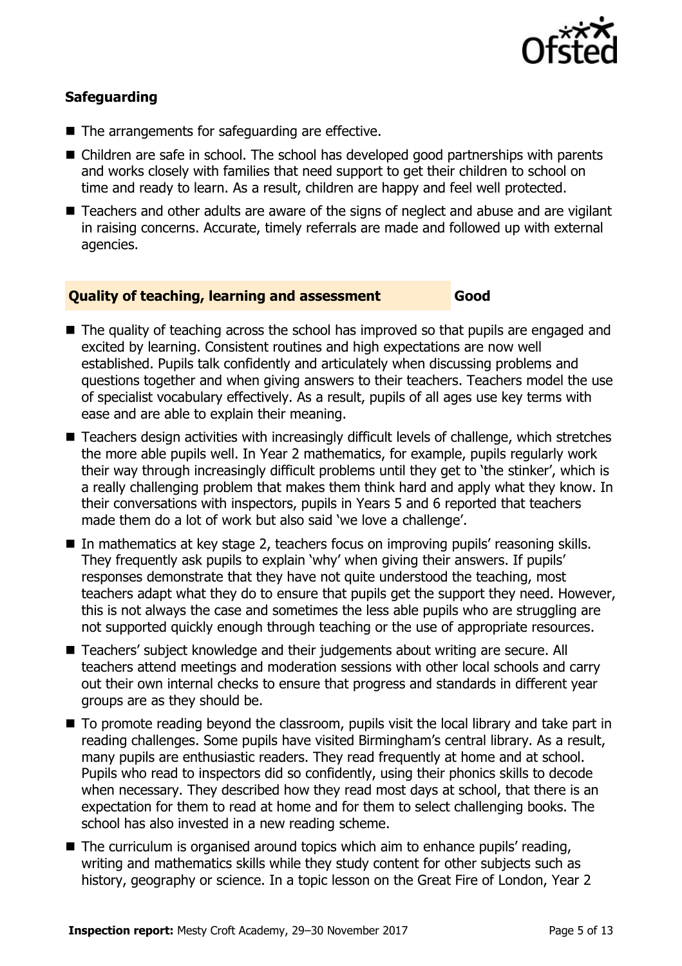

### **Safeguarding**

- The arrangements for safeguarding are effective.
- Children are safe in school. The school has developed good partnerships with parents and works closely with families that need support to get their children to school on time and ready to learn. As a result, children are happy and feel well protected.
- Teachers and other adults are aware of the signs of neglect and abuse and are vigilant in raising concerns. Accurate, timely referrals are made and followed up with external agencies.

#### **Quality of teaching, learning and assessment Good**

- The quality of teaching across the school has improved so that pupils are engaged and excited by learning. Consistent routines and high expectations are now well established. Pupils talk confidently and articulately when discussing problems and questions together and when giving answers to their teachers. Teachers model the use of specialist vocabulary effectively. As a result, pupils of all ages use key terms with ease and are able to explain their meaning.
- Teachers design activities with increasingly difficult levels of challenge, which stretches the more able pupils well. In Year 2 mathematics, for example, pupils regularly work their way through increasingly difficult problems until they get to 'the stinker', which is a really challenging problem that makes them think hard and apply what they know. In their conversations with inspectors, pupils in Years 5 and 6 reported that teachers made them do a lot of work but also said 'we love a challenge'.
- In mathematics at key stage 2, teachers focus on improving pupils' reasoning skills. They frequently ask pupils to explain 'why' when giving their answers. If pupils' responses demonstrate that they have not quite understood the teaching, most teachers adapt what they do to ensure that pupils get the support they need. However, this is not always the case and sometimes the less able pupils who are struggling are not supported quickly enough through teaching or the use of appropriate resources.
- Teachers' subject knowledge and their judgements about writing are secure. All teachers attend meetings and moderation sessions with other local schools and carry out their own internal checks to ensure that progress and standards in different year groups are as they should be.
- $\blacksquare$  To promote reading beyond the classroom, pupils visit the local library and take part in reading challenges. Some pupils have visited Birmingham's central library. As a result, many pupils are enthusiastic readers. They read frequently at home and at school. Pupils who read to inspectors did so confidently, using their phonics skills to decode when necessary. They described how they read most days at school, that there is an expectation for them to read at home and for them to select challenging books. The school has also invested in a new reading scheme.
- The curriculum is organised around topics which aim to enhance pupils' reading, writing and mathematics skills while they study content for other subjects such as history, geography or science. In a topic lesson on the Great Fire of London, Year 2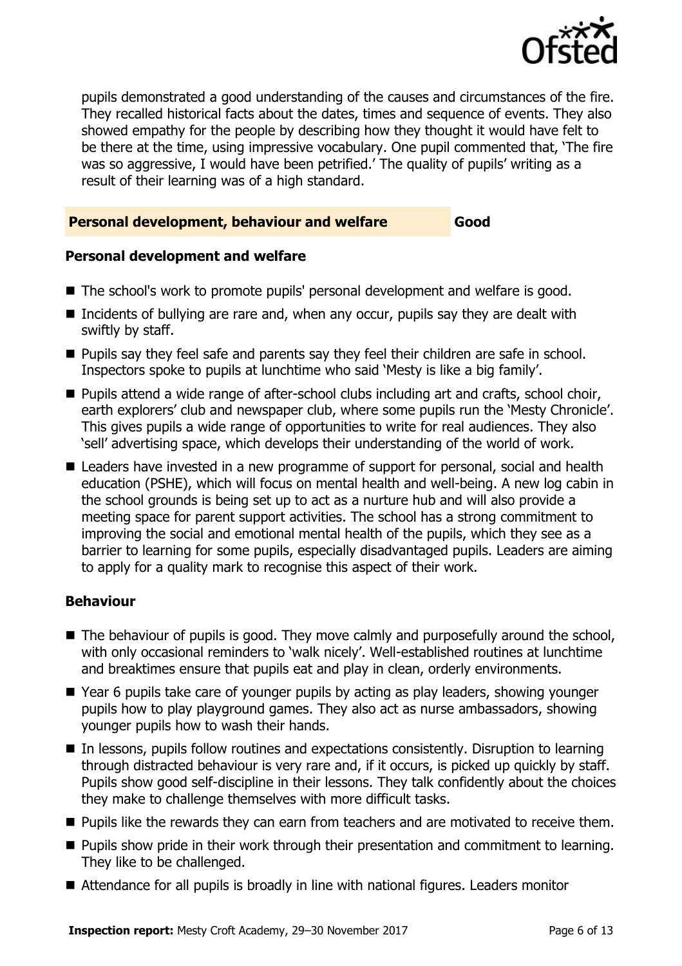

pupils demonstrated a good understanding of the causes and circumstances of the fire. They recalled historical facts about the dates, times and sequence of events. They also showed empathy for the people by describing how they thought it would have felt to be there at the time, using impressive vocabulary. One pupil commented that, 'The fire was so aggressive, I would have been petrified.' The quality of pupils' writing as a result of their learning was of a high standard.

#### **Personal development, behaviour and welfare Good**

### **Personal development and welfare**

- The school's work to promote pupils' personal development and welfare is good.
- Incidents of bullying are rare and, when any occur, pupils say they are dealt with swiftly by staff.
- **Pupils say they feel safe and parents say they feel their children are safe in school.** Inspectors spoke to pupils at lunchtime who said 'Mesty is like a big family'.
- Pupils attend a wide range of after-school clubs including art and crafts, school choir, earth explorers' club and newspaper club, where some pupils run the 'Mesty Chronicle'. This gives pupils a wide range of opportunities to write for real audiences. They also 'sell' advertising space, which develops their understanding of the world of work.
- Leaders have invested in a new programme of support for personal, social and health education (PSHE), which will focus on mental health and well-being. A new log cabin in the school grounds is being set up to act as a nurture hub and will also provide a meeting space for parent support activities. The school has a strong commitment to improving the social and emotional mental health of the pupils, which they see as a barrier to learning for some pupils, especially disadvantaged pupils. Leaders are aiming to apply for a quality mark to recognise this aspect of their work.

### **Behaviour**

- The behaviour of pupils is good. They move calmly and purposefully around the school, with only occasional reminders to 'walk nicely'. Well-established routines at lunchtime and breaktimes ensure that pupils eat and play in clean, orderly environments.
- Year 6 pupils take care of younger pupils by acting as play leaders, showing younger pupils how to play playground games. They also act as nurse ambassadors, showing younger pupils how to wash their hands.
- In lessons, pupils follow routines and expectations consistently. Disruption to learning through distracted behaviour is very rare and, if it occurs, is picked up quickly by staff. Pupils show good self-discipline in their lessons. They talk confidently about the choices they make to challenge themselves with more difficult tasks.
- **Pupils like the rewards they can earn from teachers and are motivated to receive them.**
- **Pupils show pride in their work through their presentation and commitment to learning.** They like to be challenged.
- Attendance for all pupils is broadly in line with national figures. Leaders monitor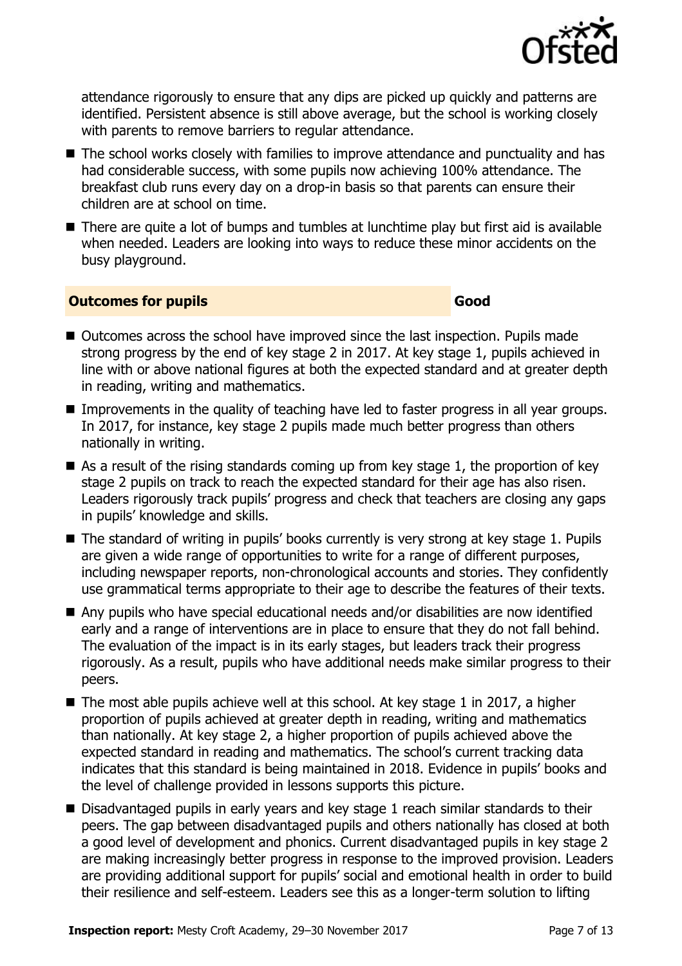

attendance rigorously to ensure that any dips are picked up quickly and patterns are identified. Persistent absence is still above average, but the school is working closely with parents to remove barriers to regular attendance.

- The school works closely with families to improve attendance and punctuality and has had considerable success, with some pupils now achieving 100% attendance. The breakfast club runs every day on a drop-in basis so that parents can ensure their children are at school on time.
- There are quite a lot of bumps and tumbles at lunchtime play but first aid is available when needed. Leaders are looking into ways to reduce these minor accidents on the busy playground.

#### **Outcomes for pupils Good**

- Outcomes across the school have improved since the last inspection. Pupils made strong progress by the end of key stage 2 in 2017. At key stage 1, pupils achieved in line with or above national figures at both the expected standard and at greater depth in reading, writing and mathematics.
- **IMPROMERGERS** In the quality of teaching have led to faster progress in all year groups. In 2017, for instance, key stage 2 pupils made much better progress than others nationally in writing.
- $\blacksquare$  As a result of the rising standards coming up from key stage 1, the proportion of key stage 2 pupils on track to reach the expected standard for their age has also risen. Leaders rigorously track pupils' progress and check that teachers are closing any gaps in pupils' knowledge and skills.
- The standard of writing in pupils' books currently is very strong at key stage 1. Pupils are given a wide range of opportunities to write for a range of different purposes, including newspaper reports, non-chronological accounts and stories. They confidently use grammatical terms appropriate to their age to describe the features of their texts.
- Any pupils who have special educational needs and/or disabilities are now identified early and a range of interventions are in place to ensure that they do not fall behind. The evaluation of the impact is in its early stages, but leaders track their progress rigorously. As a result, pupils who have additional needs make similar progress to their peers.
- $\blacksquare$  The most able pupils achieve well at this school. At key stage 1 in 2017, a higher proportion of pupils achieved at greater depth in reading, writing and mathematics than nationally. At key stage 2, a higher proportion of pupils achieved above the expected standard in reading and mathematics. The school's current tracking data indicates that this standard is being maintained in 2018. Evidence in pupils' books and the level of challenge provided in lessons supports this picture.
- Disadvantaged pupils in early years and key stage 1 reach similar standards to their peers. The gap between disadvantaged pupils and others nationally has closed at both a good level of development and phonics. Current disadvantaged pupils in key stage 2 are making increasingly better progress in response to the improved provision. Leaders are providing additional support for pupils' social and emotional health in order to build their resilience and self-esteem. Leaders see this as a longer-term solution to lifting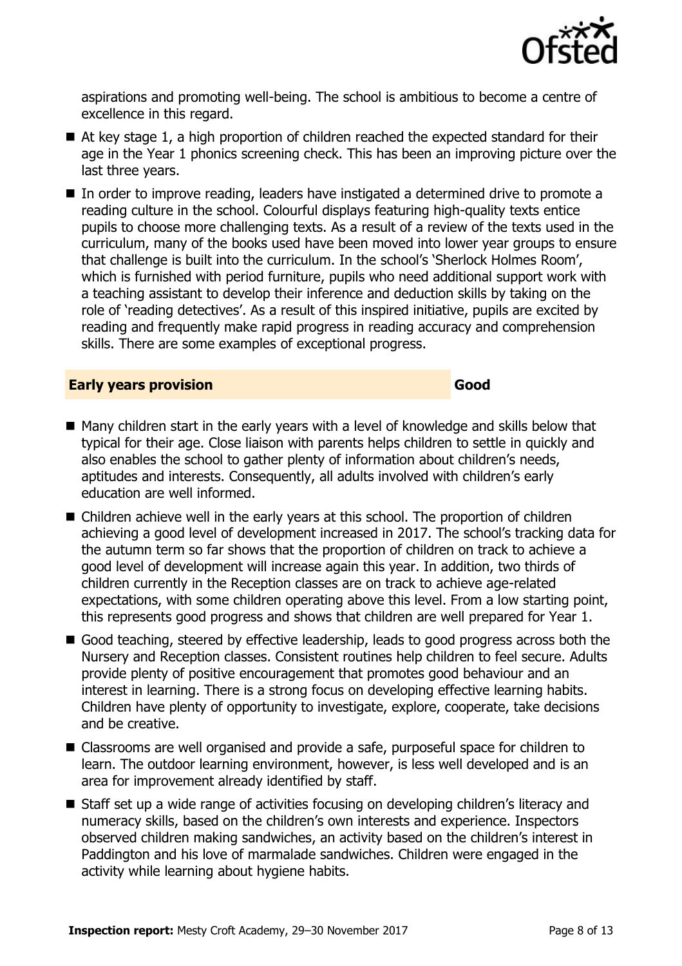

aspirations and promoting well-being. The school is ambitious to become a centre of excellence in this regard.

- At key stage 1, a high proportion of children reached the expected standard for their age in the Year 1 phonics screening check. This has been an improving picture over the last three years.
- In order to improve reading, leaders have instigated a determined drive to promote a reading culture in the school. Colourful displays featuring high-quality texts entice pupils to choose more challenging texts. As a result of a review of the texts used in the curriculum, many of the books used have been moved into lower year groups to ensure that challenge is built into the curriculum. In the school's 'Sherlock Holmes Room', which is furnished with period furniture, pupils who need additional support work with a teaching assistant to develop their inference and deduction skills by taking on the role of 'reading detectives'. As a result of this inspired initiative, pupils are excited by reading and frequently make rapid progress in reading accuracy and comprehension skills. There are some examples of exceptional progress.

#### **Early years provision Good Good**

- Many children start in the early years with a level of knowledge and skills below that typical for their age. Close liaison with parents helps children to settle in quickly and also enables the school to gather plenty of information about children's needs, aptitudes and interests. Consequently, all adults involved with children's early education are well informed.
- Children achieve well in the early years at this school. The proportion of children achieving a good level of development increased in 2017. The school's tracking data for the autumn term so far shows that the proportion of children on track to achieve a good level of development will increase again this year. In addition, two thirds of children currently in the Reception classes are on track to achieve age-related expectations, with some children operating above this level. From a low starting point, this represents good progress and shows that children are well prepared for Year 1.
- Good teaching, steered by effective leadership, leads to good progress across both the Nursery and Reception classes. Consistent routines help children to feel secure. Adults provide plenty of positive encouragement that promotes good behaviour and an interest in learning. There is a strong focus on developing effective learning habits. Children have plenty of opportunity to investigate, explore, cooperate, take decisions and be creative.
- Classrooms are well organised and provide a safe, purposeful space for children to learn. The outdoor learning environment, however, is less well developed and is an area for improvement already identified by staff.
- Staff set up a wide range of activities focusing on developing children's literacy and numeracy skills, based on the children's own interests and experience. Inspectors observed children making sandwiches, an activity based on the children's interest in Paddington and his love of marmalade sandwiches. Children were engaged in the activity while learning about hygiene habits.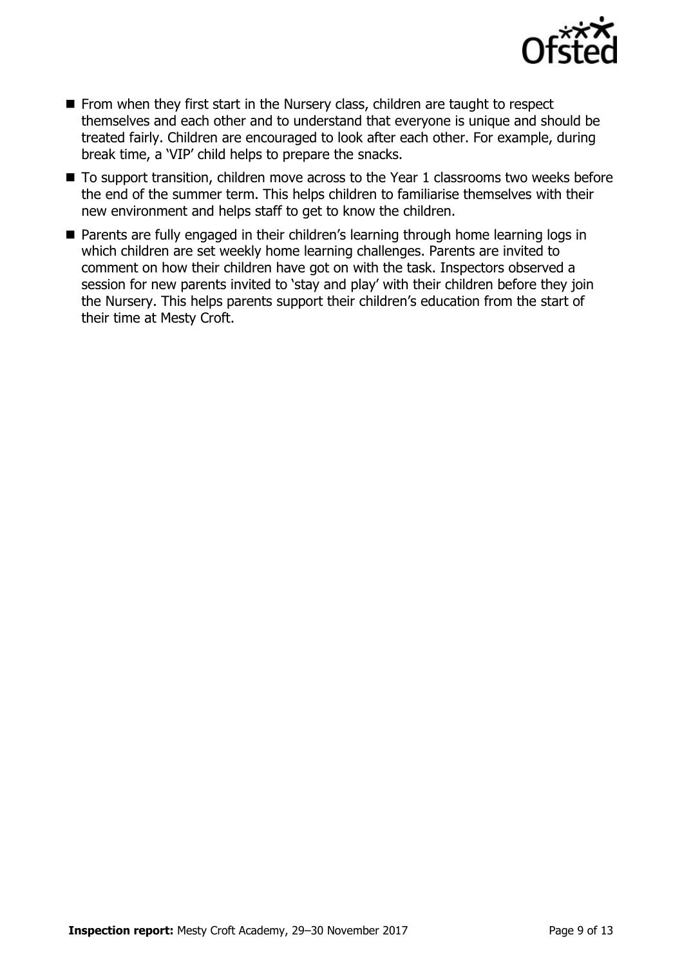

- $\blacksquare$  From when they first start in the Nursery class, children are taught to respect themselves and each other and to understand that everyone is unique and should be treated fairly. Children are encouraged to look after each other. For example, during break time, a 'VIP' child helps to prepare the snacks.
- To support transition, children move across to the Year 1 classrooms two weeks before the end of the summer term. This helps children to familiarise themselves with their new environment and helps staff to get to know the children.
- Parents are fully engaged in their children's learning through home learning logs in which children are set weekly home learning challenges. Parents are invited to comment on how their children have got on with the task. Inspectors observed a session for new parents invited to 'stay and play' with their children before they join the Nursery. This helps parents support their children's education from the start of their time at Mesty Croft.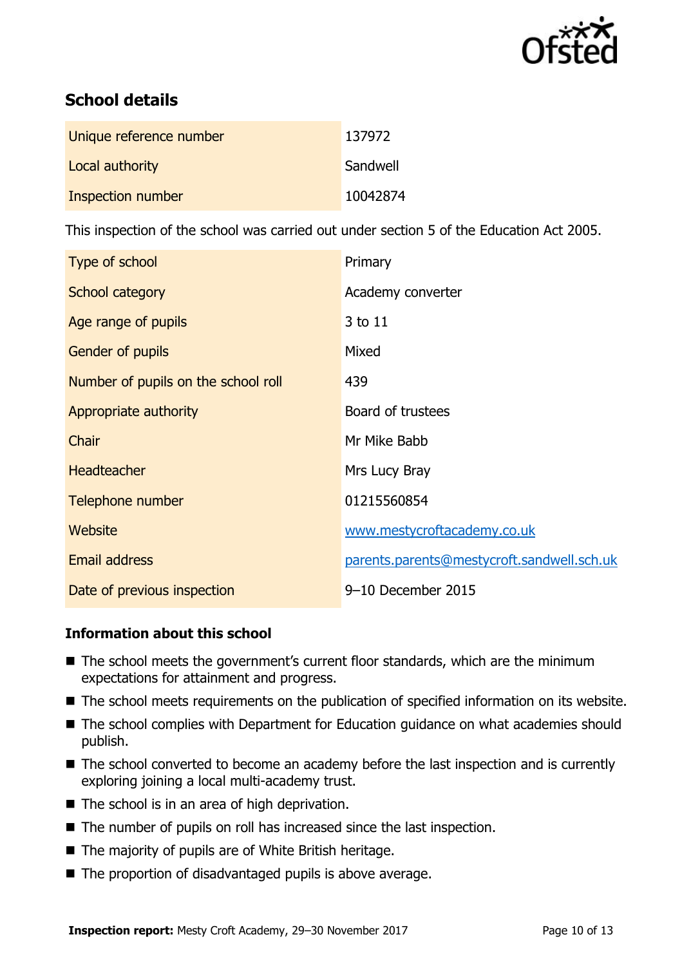

# **School details**

| Unique reference number | 137972   |
|-------------------------|----------|
| Local authority         | Sandwell |
| Inspection number       | 10042874 |

This inspection of the school was carried out under section 5 of the Education Act 2005.

| Type of school                      | Primary                                    |
|-------------------------------------|--------------------------------------------|
| School category                     | Academy converter                          |
| Age range of pupils                 | 3 to 11                                    |
| Gender of pupils                    | Mixed                                      |
| Number of pupils on the school roll | 439                                        |
| Appropriate authority               | Board of trustees                          |
| Chair                               | Mr Mike Babb                               |
| <b>Headteacher</b>                  | Mrs Lucy Bray                              |
| Telephone number                    | 01215560854                                |
| <b>Website</b>                      | www.mestycroftacademy.co.uk                |
| <b>Email address</b>                | parents.parents@mestycroft.sandwell.sch.uk |
| Date of previous inspection         | 9-10 December 2015                         |

### **Information about this school**

- The school meets the government's current floor standards, which are the minimum expectations for attainment and progress.
- The school meets requirements on the publication of specified information on its website.
- The school complies with Department for Education guidance on what academies should publish.
- The school converted to become an academy before the last inspection and is currently exploring joining a local multi-academy trust.
- $\blacksquare$  The school is in an area of high deprivation.
- The number of pupils on roll has increased since the last inspection.
- The majority of pupils are of White British heritage.
- $\blacksquare$  The proportion of disadvantaged pupils is above average.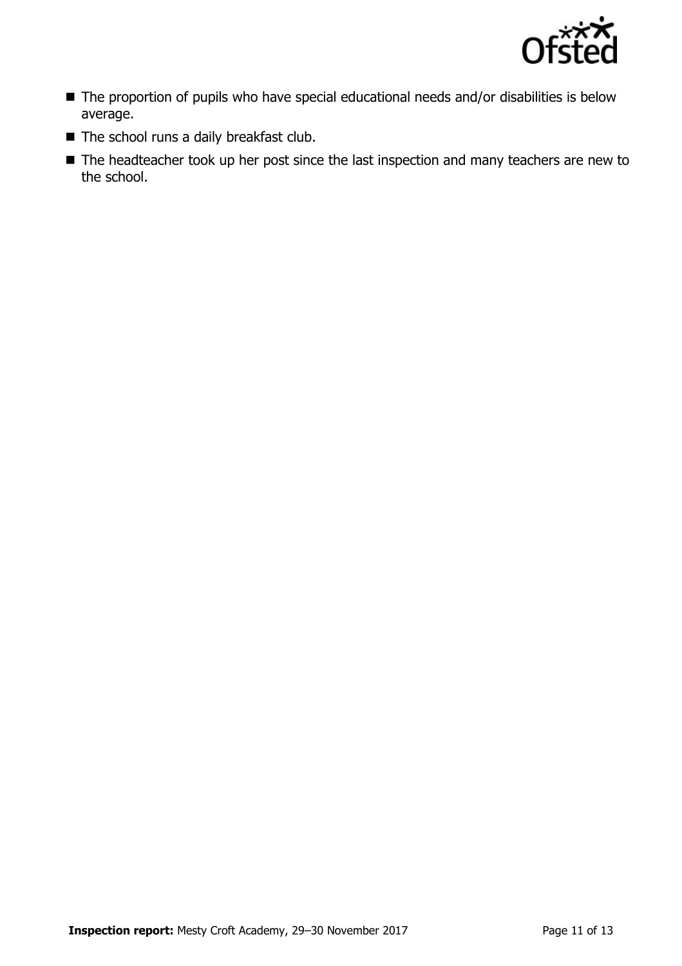

- The proportion of pupils who have special educational needs and/or disabilities is below average.
- The school runs a daily breakfast club.
- The headteacher took up her post since the last inspection and many teachers are new to the school.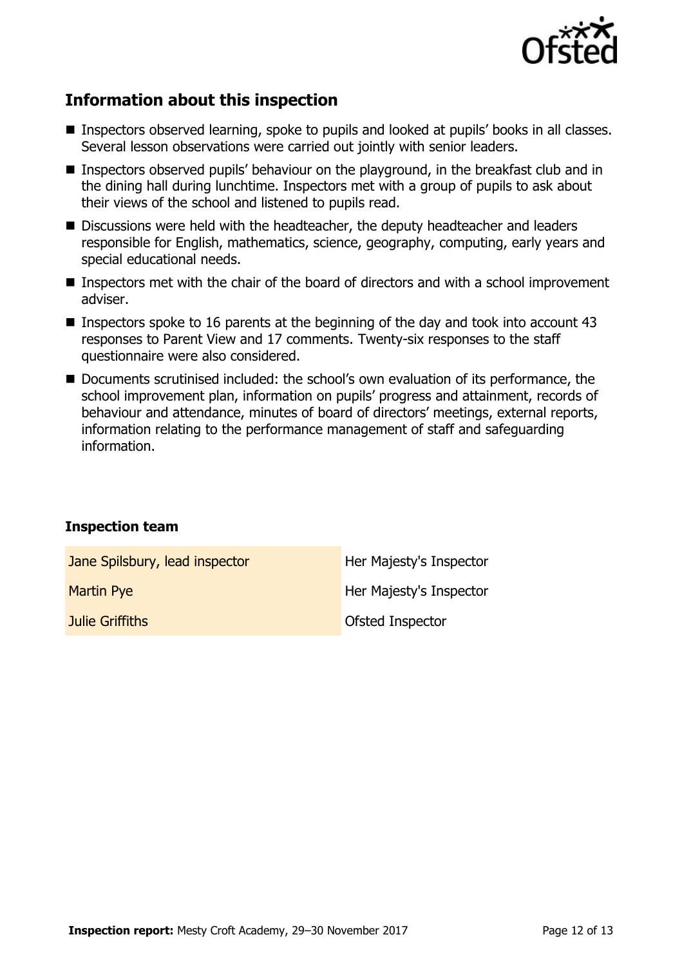

# **Information about this inspection**

- **Inspectors observed learning, spoke to pupils and looked at pupils' books in all classes.** Several lesson observations were carried out jointly with senior leaders.
- Inspectors observed pupils' behaviour on the playground, in the breakfast club and in the dining hall during lunchtime. Inspectors met with a group of pupils to ask about their views of the school and listened to pupils read.
- Discussions were held with the headteacher, the deputy headteacher and leaders responsible for English, mathematics, science, geography, computing, early years and special educational needs.
- Inspectors met with the chair of the board of directors and with a school improvement adviser.
- **Inspectors spoke to 16 parents at the beginning of the day and took into account 43** responses to Parent View and 17 comments. Twenty-six responses to the staff questionnaire were also considered.
- Documents scrutinised included: the school's own evaluation of its performance, the school improvement plan, information on pupils' progress and attainment, records of behaviour and attendance, minutes of board of directors' meetings, external reports, information relating to the performance management of staff and safeguarding information.

### **Inspection team**

| Jane Spilsbury, lead inspector | Her Majesty's Inspector |
|--------------------------------|-------------------------|
| <b>Martin Pye</b>              | Her Majesty's Inspector |
| Julie Griffiths                | <b>Ofsted Inspector</b> |